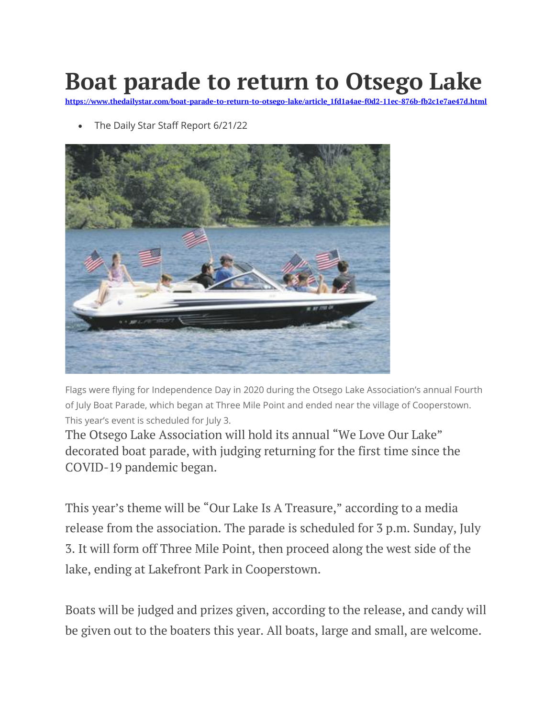## **Boat parade to return to Otsego Lake**

**https://www.thedailystar.com/boat-parade-to-return-to-otsego-lake/article\_1fd1a4ae-f0d2-11ec-876b-fb2c1e7ae47d.html**

• The Daily Star Staff Report 6/21/22



Flags were flying for Independence Day in 2020 during the Otsego Lake Association's annual Fourth of July Boat Parade, which began at Three Mile Point and ended near the village of Cooperstown. This year's event is scheduled for July 3.

The Otsego Lake Association will hold its annual "We Love Our Lake" decorated boat parade, with judging returning for the first time since the COVID-19 pandemic began.

This year's theme will be "Our Lake Is A Treasure," according to a media release from the association. The parade is scheduled for 3 p.m. Sunday, July 3. It will form off Three Mile Point, then proceed along the west side of the lake, ending at Lakefront Park in Cooperstown.

Boats will be judged and prizes given, according to the release, and candy will be given out to the boaters this year. All boats, large and small, are welcome.